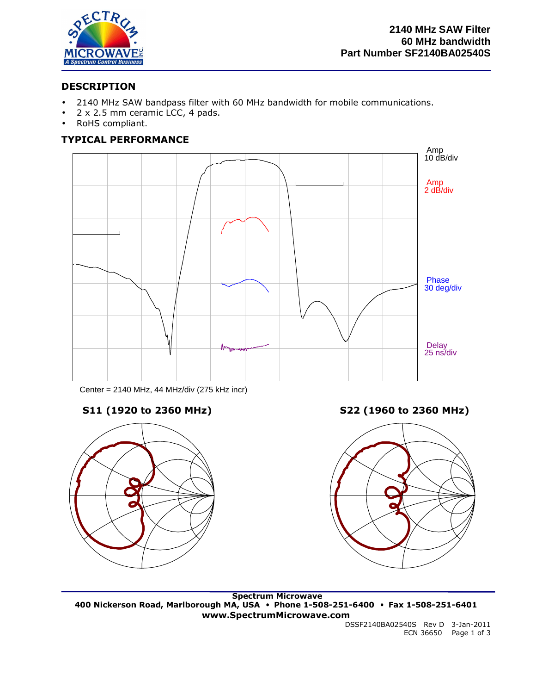

# **DESCRIPTION**

- 2140 MHz SAW bandpass filter with 60 MHz bandwidth for mobile communications.
- 2 x 2.5 mm ceramic LCC, 4 pads.
- RoHS compliant.

# **TYPICAL PERFORMANCE**



Center = 2140 MHz, 44 MHz/div (275 kHz incr)



**S11 (1920 to 2360 MHz) S22 (1960 to 2360 MHz)**



 **Spectrum Microwave 400 Nickerson Road, Marlborough MA, USA** • **Phone 1-508-251-6400** • **Fax 1-508-251-6401 www.SpectrumMicrowave.com** 

DSSF2140BA02540S Rev D 3-Jan-2011 ECN 36650 Page 1 of 3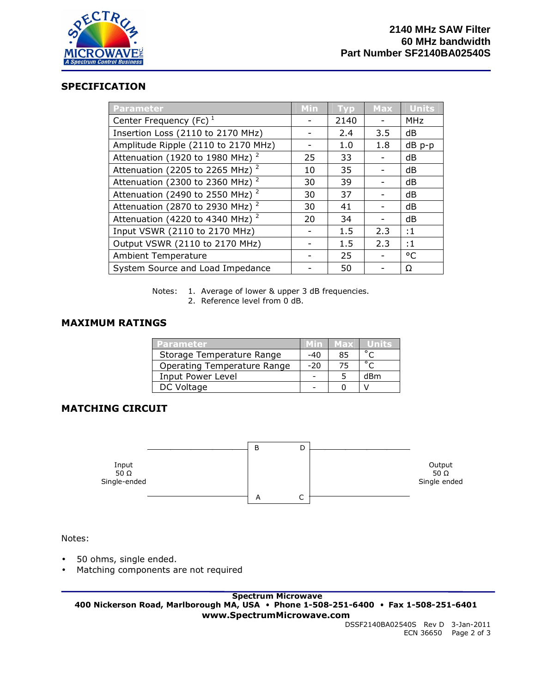

## **SPECIFICATION**

| <b>Parameter</b>                            | Min | <b>Typ</b> | <b>Max</b> | <b>Units</b> |
|---------------------------------------------|-----|------------|------------|--------------|
| Center Frequency (Fc) $1$                   |     | 2140       |            | <b>MHz</b>   |
| Insertion Loss (2110 to 2170 MHz)           |     | 2.4        | 3.5        | dB           |
| Amplitude Ripple (2110 to 2170 MHz)         |     | 1.0        | 1.8        | dB p-p       |
| Attenuation (1920 to 1980 MHz) <sup>2</sup> | 25  | 33         |            | dB           |
| Attenuation (2205 to 2265 MHz) <sup>2</sup> | 10  | 35         |            | dB           |
| Attenuation (2300 to 2360 MHz) $^2$         | 30  | 39         |            | dB           |
| Attenuation (2490 to 2550 MHz) $^2$         | 30  | 37         |            | dB           |
| Attenuation (2870 to 2930 MHz) <sup>2</sup> | 30  | 41         |            | dB           |
| Attenuation (4220 to 4340 MHz) <sup>2</sup> | 20  | 34         |            | dB           |
| Input VSWR (2110 to 2170 MHz)               |     | 1.5        | 2.3        | :1           |
| Output VSWR (2110 to 2170 MHz)              |     | 1.5        | 2.3        | $\cdot$ 1    |
| <b>Ambient Temperature</b>                  |     | 25         |            | $^{\circ}$ C |
| System Source and Load Impedance            |     | 50         |            | Ω            |

Notes: 1. Average of lower & upper 3 dB frequencies. 2. Reference level from 0 dB.

## **MAXIMUM RATINGS**

| Parameter                   | Min   | Max | /Units         |
|-----------------------------|-------|-----|----------------|
| Storage Temperature Range   | -40   | 85  | $\circ$ $\sim$ |
| Operating Temperature Range | $-20$ | 75  | $\circ$ $\sim$ |
| Input Power Level           |       |     | dBm            |
| DC Voltage                  |       |     |                |

## **MATCHING CIRCUIT**



Notes:

- 50 ohms, single ended.
- Matching components are not required

 **Spectrum Microwave 400 Nickerson Road, Marlborough MA, USA** • **Phone 1-508-251-6400** • **Fax 1-508-251-6401 www.SpectrumMicrowave.com** 

DSSF2140BA02540S Rev D 3-Jan-2011 ECN 36650 Page 2 of 3